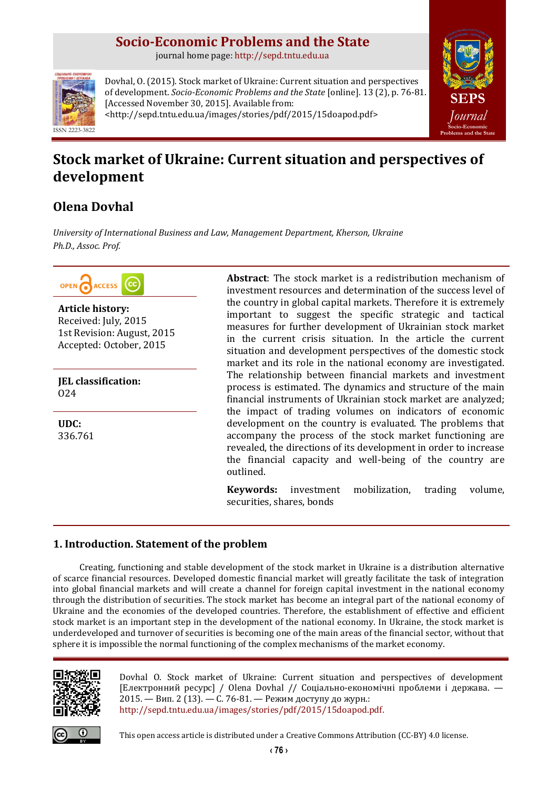## **Socio-Economic Problems and the State**

journal home page: [http://sepd.tntu.edu.ua](http://sepd.tntu.edu.ua/)



Dovhal, O. (2015). Stock market of Ukraine: Current situation and perspectives of development. *Socio-Economic Problems and the State* [online]. 13 (2), p. 76-81. [Accessed November 30, 2015]. Available from: <http://sepd.tntu.edu.ua/images/stories/pdf/2015/15doapod.pdf>



# **Stock market of Ukraine: Current situation and perspectives of development**

## **Olena Dovhal**

*University of International Business and Law, Management Department, Kherson, Ukraine Ph.D., Assoc. Prof.*



**Article history:** Received: July, 2015 1st Revision: August, 2015 Accepted: October, 2015

**JEL classification:** O24

**UDC:** 336.761 **Abstract**: The stock market is a redistribution mechanism of investment resources and determination of the success level of the country in global capital markets. Therefore it is extremely important to suggest the specific strategic and tactical measures for further development of Ukrainian stock market in the current crisis situation. In the article the current situation and development perspectives of the domestic stock market and its role in the national economy are investigated. The relationship between financial markets and investment process is estimated. The dynamics and structure of the main financial instruments of Ukrainian stock market are analyzed; the impact of trading volumes on indicators of economic development on the country is evaluated. The problems that accompany the process of the stock market functioning are revealed, the directions of its development in order to increase the financial capacity and well-being of the country are outlined.

**Keywords:** investment mobilization, trading volume, securities, shares, bonds

## **1. Introduction. Statement of the problem**

Creating, functioning and stable development of the stock market in Ukraine is a distribution alternative of scarce financial resources. Developed domestic financial market will greatly facilitate the task of integration into global financial markets and will create a channel for foreign capital investment in the national economy through the distribution of securities. The stock market has become an integral part of the national economy of Ukraine and the economies of the developed countries. Therefore, the establishment of effective and efficient stock market is an important step in the development of the national economy. In Ukraine, the stock market is underdeveloped and turnover of securities is becoming one of the main areas of the financial sector, without that sphere it is impossible the normal functioning of the complex mechanisms of the market economy.



Dovhal O. Stock market of Ukraine: Current situation and perspectives of development [Електронний ресурс] / Olena Dovhal // Соціально-економічні проблеми і держава. — 2015. — Вип. 2 (13). — С. 76-81. — Режим доступу до журн.: [http://sepd.tntu.edu.ua/images/stories/pdf/2015/15doapod.pdf.](http://sepd.tntu.edu.ua/images/stories/pdf/2015/15doapod.pdf)



This open access article is distributed under [a Creative Commons Attribution \(CC-BY\) 4.0 license.](http://creativecommons.org/licenses/by/4.0/)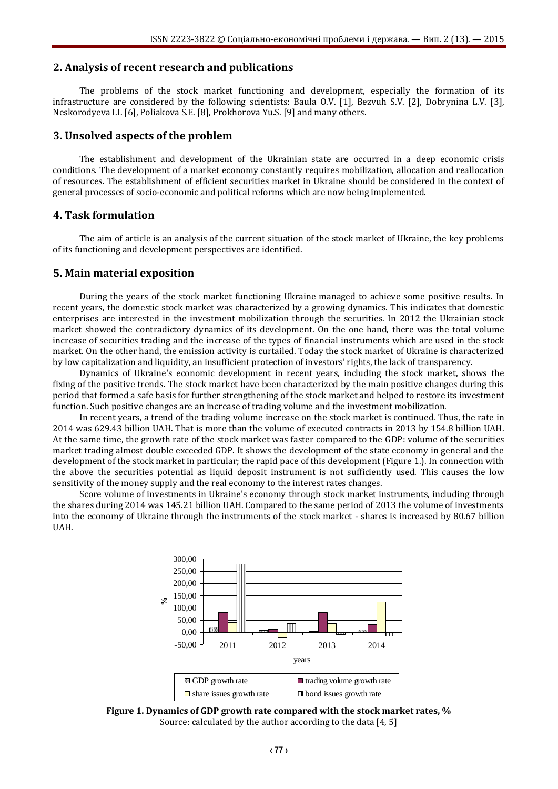## **2. Analysis of recent research and publications**

The problems of the stock market functioning and development, especially the formation of its infrastructure are considered by the following scientists: Baula O.V. [1], Bezvuh S.V. [2], Dobrynina L.V. [3], Neskorodyeva I.I. [6], Poliakova S.E. [8], Prokhorova Yu.S. [9] and many others.

#### **3. Unsolved aspects of the problem**

The establishment and development of the Ukrainian state are occurred in a deep economic crisis conditions. The development of a market economy constantly requires mobilization, allocation and reallocation of resources. The establishment of efficient securities market in Ukraine should be considered in the context of general processes of socio-economic and political reforms which are now being implemented.

### **4. Task formulation**

The aim of article is an analysis of the current situation of the stock market of Ukraine, the key problems of its functioning and development perspectives are identified.

#### **5. Main material exposition**

During the years of the stock market functioning Ukraine managed to achieve some positive results. In recent years, the domestic stock market was characterized by a growing dynamics. This indicates that domestic enterprises are interested in the investment mobilization through the securities. In 2012 the Ukrainian stock market showed the contradictory dynamics of its development. On the one hand, there was the total volume increase of securities trading and the increase of the types of financial instruments which are used in the stock market. On the other hand, the emission activity is curtailed. Today the stock market of Ukraine is characterized by low capitalization and liquidity, an insufficient protection of investors' rights, the lack of transparency.

Dynamics of Ukraine's economic development in recent years, including the stock market, shows the fixing of the positive trends. The stock market have been characterized by the main positive changes during this period that formed a safe basis for further strengthening of the stock market and helped to restore its investment function. Such positive changes are an increase of trading volume and the investment mobilization.

In recent years, a trend of the trading volume increase on the stock market is continued. Thus, the rate in 2014 was 629.43 billion UAH. That is more than the volume of executed contracts in 2013 by 154.8 billion UAH. At the same time, the growth rate of the stock market was faster compared to the GDP: volume of the securities market trading almost double exceeded GDP. It shows the development of the state economy in general and the development of the stock market in particular; the rapid pace of this development (Figure 1.). In connection with the above the securities potential as liquid deposit instrument is not sufficiently used. This causes the low sensitivity of the money supply and the real economy to the interest rates changes.

Score volume of investments in Ukraine's economy through stock market instruments, including through the shares during 2014 was 145.21 billion UAH. Compared to the same period of 2013 the volume of investments into the economy of Ukraine through the instruments of the stock market - shares is increased by 80.67 billion UAH.



**Figure 1. Dynamics of GDP growth rate compared with the stock market rates, %** Source: calculated by the author according to the data [4, 5]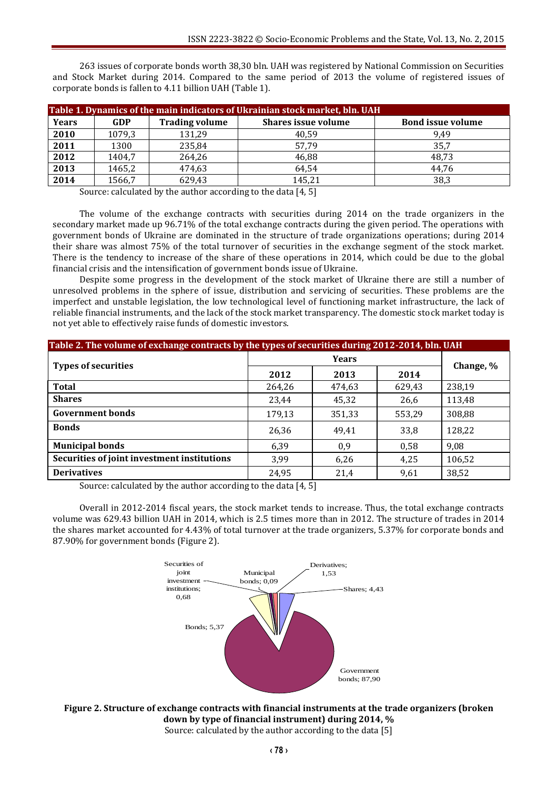263 issues of corporate bonds worth 38,30 bln. UAH was registered by National Commission on Securities and Stock Market during 2014. Compared to the same period of 2013 the volume of registered issues of corporate bonds is fallen to 4.11 billion UAH (Table 1).

| Table 1. Dynamics of the main indicators of Ukrainian stock market, bln. UAH |        |                       |                            |                          |  |  |  |  |
|------------------------------------------------------------------------------|--------|-----------------------|----------------------------|--------------------------|--|--|--|--|
| <b>Years</b>                                                                 | GDP    | <b>Trading volume</b> | <b>Shares issue volume</b> | <b>Bond issue volume</b> |  |  |  |  |
| 2010                                                                         | 1079.3 | 131,29                | 40,59                      | 9.49                     |  |  |  |  |
| 2011                                                                         | 1300   | 235,84                | 57,79                      | 35,7                     |  |  |  |  |
| 2012                                                                         | 1404.7 | 264,26                | 46,88                      | 48,73                    |  |  |  |  |
| 2013                                                                         | 1465,2 | 474,63                | 64,54                      | 44.76                    |  |  |  |  |
| 2014                                                                         | 1566,7 | 629,43                | 145,21                     | 38,3                     |  |  |  |  |

Source: calculated by the author according to the data [4, 5]

The volume of the exchange contracts with securities during 2014 on the trade organizers in the secondary market made up 96.71% of the total exchange contracts during the given period. The operations with government bonds of Ukraine are dominated in the structure of trade organizations operations; during 2014 their share was almost 75% of the total turnover of securities in the exchange segment of the stock market. There is the tendency to increase of the share of these operations in 2014, which could be due to the global financial crisis and the intensification of government bonds issue of Ukraine.

Despite some progress in the development of the stock market of Ukraine there are still a number of unresolved problems in the sphere of issue, distribution and servicing of securities. These problems are the imperfect and unstable legislation, the low technological level of functioning market infrastructure, the lack of reliable financial instruments, and the lack of the stock market transparency. The domestic stock market today is not yet able to effectively raise funds of domestic investors.

| Table 2. The volume of exchange contracts by the types of securities during 2012-2014, bln. UAH |              |        |        |           |  |  |  |
|-------------------------------------------------------------------------------------------------|--------------|--------|--------|-----------|--|--|--|
| <b>Types of securities</b>                                                                      | <b>Years</b> |        |        |           |  |  |  |
|                                                                                                 | 2012         | 2013   | 2014   | Change, % |  |  |  |
| <b>Total</b>                                                                                    | 264,26       | 474,63 | 629,43 | 238,19    |  |  |  |
| <b>Shares</b>                                                                                   | 23,44        | 45,32  | 26,6   | 113,48    |  |  |  |
| <b>Government bonds</b>                                                                         | 179,13       | 351,33 | 553,29 | 308,88    |  |  |  |
| <b>Bonds</b>                                                                                    | 26,36        | 49,41  | 33,8   | 128,22    |  |  |  |
| <b>Municipal bonds</b>                                                                          | 6,39         | 0,9    | 0,58   | 9,08      |  |  |  |
| Securities of joint investment institutions                                                     | 3,99         | 6,26   | 4,25   | 106,52    |  |  |  |
| <b>Derivatives</b>                                                                              | 24,95        | 21,4   | 9,61   | 38,52     |  |  |  |

Source: calculated by the author according to the data [4, 5]

Overall in 2012-2014 fiscal years, the stock market tends to increase. Thus, the total exchange contracts volume was 629.43 billion UAH in 2014, which is 2.5 times more than in 2012. The structure of trades in 2014 the shares market accounted for 4.43% of total turnover at the trade organizers, 5.37% for corporate bonds and 87.90% for government bonds (Figure 2).



**Figure 2. Structure of exchange contracts with financial instruments at the trade organizers (broken down by type of financial instrument) during 2014, %** Source: calculated by the author according to the data [5]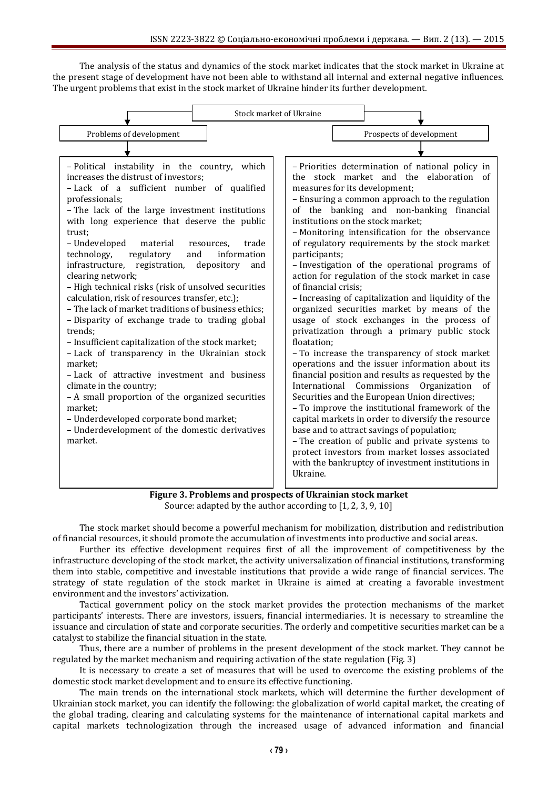The analysis of the status and dynamics of the stock market indicates that the stock market in Ukraine at the present stage of development have not been able to withstand all internal and external negative influences. The urgent problems that exist in the stock market of Ukraine hinder its further development.



**Figure 3. Problems and prospects of Ukrainian stock market** Source: adapted by the author according to [1, 2, 3, 9, 10]

The stock market should become a powerful mechanism for mobilization, distribution and redistribution of financial resources, it should promote the accumulation of investments into productive and social areas.

Further its effective development requires first of all the improvement of competitiveness by the infrastructure developing of the stock market, the activity universalization of financial institutions, transforming them into stable, competitive and investable institutions that provide a wide range of financial services. The strategy of state regulation of the stock market in Ukraine is aimed at creating a favorable investment environment and the investors' activization.

Tactical government policy on the stock market provides the protection mechanisms of the market participants' interests. There are investors, issuers, financial intermediaries. It is necessary to streamline the issuance and circulation of state and corporate securities. The orderly and competitive securities market can be a catalyst to stabilize the financial situation in the state.

Thus, there are a number of problems in the present development of the stock market. They cannot be regulated by the market mechanism and requiring activation of the state regulation (Fig. 3)

It is necessary to create a set of measures that will be used to overcome the existing problems of the domestic stock market development and to ensure its effective functioning.

The main trends on the international stock markets, which will determine the further development of Ukrainian stock market, you can identify the following: the globalization of world capital market, the creating of the global trading, clearing and calculating systems for the maintenance of international capital markets and capital markets technologization through the increased usage of advanced information and financial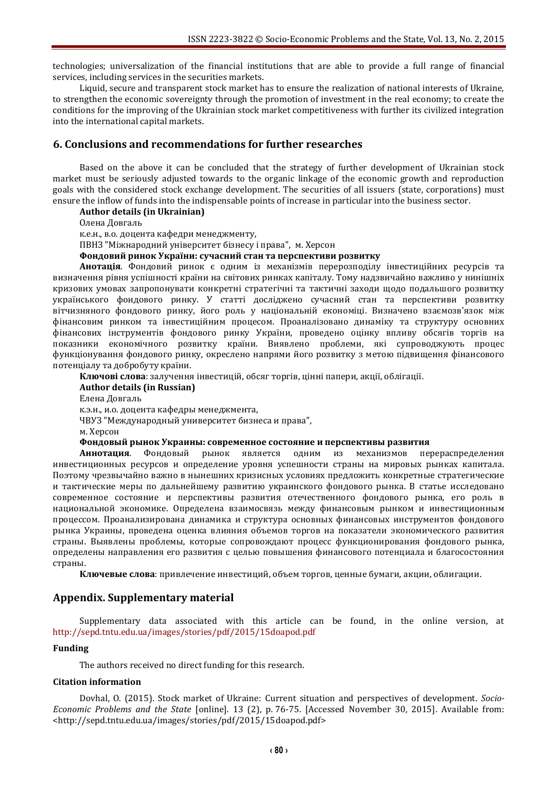technologies; universalization of the financial institutions that are able to provide a full range of financial services, including services in the securities markets.

Liquid, secure and transparent stock market has to ensure the realization of national interests of Ukraine, to strengthen the economic sovereignty through the promotion of investment in the real economy; to create the conditions for the improving of the Ukrainian stock market competitiveness with further its civilized integration into the international capital markets.

### **6. Conclusions and recommendations for further researches**

Based on the above it can be concluded that the strategy of further development of Ukrainian stock market must be seriously adjusted towards to the organic linkage of the economic growth and reproduction goals with the considered stock exchange development. The securities of all issuers (state, corporations) must ensure the inflow of funds into the indispensable points of increase in particular into the business sector.

**Author details (in Ukrainian)**

Олена Довгаль

к.е.н., в.о. доцента кафедри менеджменту,

ПВНЗ "Міжнародний університет бізнесу і права", м. Херсон

#### **Фондовий ринок України: сучасний стан та перспективи розвитку**

**Анотація**. Фондовий ринок є одним із механізмів перерозподілу інвестиційних ресурсів та визначення рівня успішності країни на світових ринках капіталу. Тому надзвичайно важливо у нинішніх кризових умовах запропонувати конкретні стратегічні та тактичні заходи щодо подальшого розвитку українського фондового ринку. У статті досліджено сучасний стан та перспективи розвитку вітчизняного фондового ринку, його роль у національній економіці. Визначено взаємозв'язок між фінансовим ринком та інвестиційним процесом. Проаналізовано динаміку та структуру основних фінансових інструментів фондового ринку України, проведено оцінку впливу обсягів торгів на показники економічного розвитку країни. Виявлено проблеми, які супроводжують процес функціонування фондового ринку, окреслено напрями його розвитку з метою підвищення фінансового потенціалу та добробуту країни.

**Ключові слова**: залучення інвестицій, обсяг торгів, цінні папери, акції, облігації.

#### **Author details (in Russian)**

Елена Довгаль

к.э.н., и.о. доцента кафедры менеджмента,

ЧВУЗ "Международный университет бизнеса и права",

м. Херсон

#### **Фондовый рынок Украины: современное состояние и перспективы развития**

**Аннотация**. Фондовый рынок является одним из механизмов перераспределения инвестиционных ресурсов и определение уровня успешности страны на мировых рынках капитала. Поэтому чрезвычайно важно в нынешних кризисных условиях предложить конкретные стратегические и тактические меры по дальнейшему развитию украинского фондового рынка. В статье исследовано современное состояние и перспективы развития отечественного фондового рынка, его роль в национальной экономике. Определена взаимосвязь между финансовым рынком и инвестиционным процессом. Проанализирована динамика и структура основных финансовых инструментов фондового рынка Украины, проведена оценка влияния объемов торгов на показатели экономического развития страны. Выявлены проблемы, которые сопровождают процесс функционирования фондового рынка, определены направления его развития с целью повышения финансового потенциала и благосостояния страны.

**Ключевые слова**: привлечение инвестиций, объем торгов, ценные бумаги, акции, облигации.

### **Appendix. Supplementary material**

Supplementary data associated with this article can be found, in the online version, at <http://sepd.tntu.edu.ua/images/stories/pdf/2015/15doapod.pdf>

#### **Funding**

The authors received no direct funding for this research.

#### **Citation information**

Dovhal, O. (2015). Stock market of Ukraine: Current situation and perspectives of development. *Socio-Economic Problems and the State* [online]. 13 (2), p. 76-75. [Accessed November 30, 2015]. Available from: <http://sepd.tntu.edu.ua/images/stories/pdf/2015/15doapod.pdf>